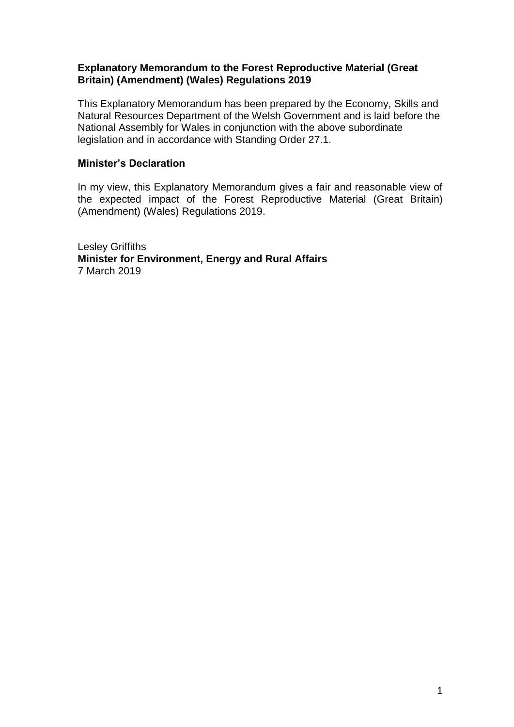#### **Explanatory Memorandum to the Forest Reproductive Material (Great Britain) (Amendment) (Wales) Regulations 2019**

This Explanatory Memorandum has been prepared by the Economy, Skills and Natural Resources Department of the Welsh Government and is laid before the National Assembly for Wales in conjunction with the above subordinate legislation and in accordance with Standing Order 27.1.

#### **Minister's Declaration**

In my view, this Explanatory Memorandum gives a fair and reasonable view of the expected impact of the Forest Reproductive Material (Great Britain) (Amendment) (Wales) Regulations 2019.

Lesley Griffiths **Minister for Environment, Energy and Rural Affairs** 7 March 2019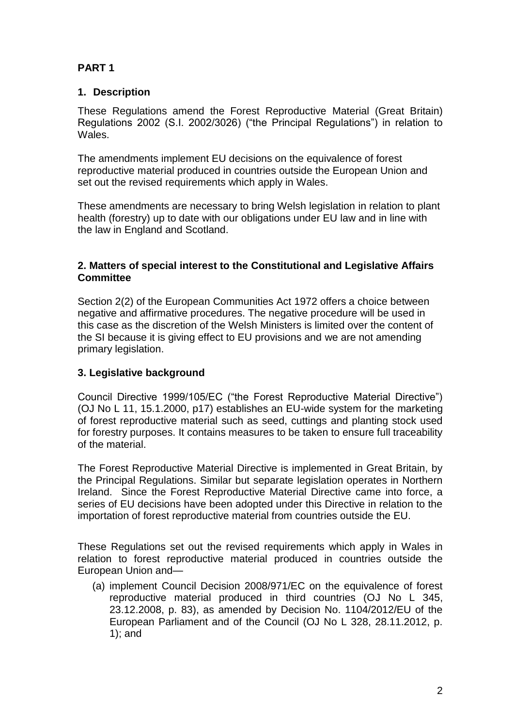# **PART 1**

## **1. Description**

These Regulations amend the Forest Reproductive Material (Great Britain) Regulations 2002 (S.I. 2002/3026) ("the Principal Regulations") in relation to Wales.

The amendments implement EU decisions on the equivalence of forest reproductive material produced in countries outside the European Union and set out the revised requirements which apply in Wales.

These amendments are necessary to bring Welsh legislation in relation to plant health (forestry) up to date with our obligations under EU law and in line with the law in England and Scotland.

### **2. Matters of special interest to the Constitutional and Legislative Affairs Committee**

Section 2(2) of the European Communities Act 1972 offers a choice between negative and affirmative procedures. The negative procedure will be used in this case as the discretion of the Welsh Ministers is limited over the content of the SI because it is giving effect to EU provisions and we are not amending primary legislation.

## **3. Legislative background**

Council Directive 1999/105/EC ("the Forest Reproductive Material Directive") (OJ No L 11, 15.1.2000, p17) establishes an EU-wide system for the marketing of forest reproductive material such as seed, cuttings and planting stock used for forestry purposes. It contains measures to be taken to ensure full traceability of the material.

The Forest Reproductive Material Directive is implemented in Great Britain, by the Principal Regulations. Similar but separate legislation operates in Northern Ireland. Since the Forest Reproductive Material Directive came into force, a series of EU decisions have been adopted under this Directive in relation to the importation of forest reproductive material from countries outside the EU.

These Regulations set out the revised requirements which apply in Wales in relation to forest reproductive material produced in countries outside the European Union and—

(a) implement Council Decision 2008/971/EC on the equivalence of forest reproductive material produced in third countries (OJ No L 345, 23.12.2008, p. 83), as amended by Decision No. 1104/2012/EU of the European Parliament and of the Council (OJ No L 328, 28.11.2012, p. 1); and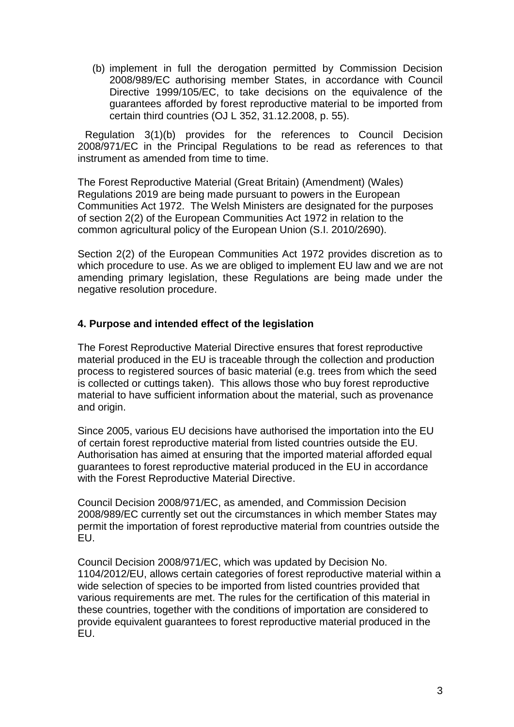(b) implement in full the derogation permitted by Commission Decision 2008/989/EC authorising member States, in accordance with Council Directive 1999/105/EC, to take decisions on the equivalence of the guarantees afforded by forest reproductive material to be imported from certain third countries (OJ L 352, 31.12.2008, p. 55).

Regulation 3(1)(b) provides for the references to Council Decision 2008/971/EC in the Principal Regulations to be read as references to that instrument as amended from time to time.

The Forest Reproductive Material (Great Britain) (Amendment) (Wales) Regulations 2019 are being made pursuant to powers in the European Communities Act 1972. The Welsh Ministers are designated for the purposes of section 2(2) of the European Communities Act 1972 in relation to the common agricultural policy of the European Union (S.I. 2010/2690).

Section 2(2) of the European Communities Act 1972 provides discretion as to which procedure to use. As we are obliged to implement EU law and we are not amending primary legislation, these Regulations are being made under the negative resolution procedure.

#### **4. Purpose and intended effect of the legislation**

The Forest Reproductive Material Directive ensures that forest reproductive material produced in the EU is traceable through the collection and production process to registered sources of basic material (e.g. trees from which the seed is collected or cuttings taken). This allows those who buy forest reproductive material to have sufficient information about the material, such as provenance and origin.

Since 2005, various EU decisions have authorised the importation into the EU of certain forest reproductive material from listed countries outside the EU. Authorisation has aimed at ensuring that the imported material afforded equal guarantees to forest reproductive material produced in the EU in accordance with the Forest Reproductive Material Directive.

Council Decision 2008/971/EC, as amended, and Commission Decision 2008/989/EC currently set out the circumstances in which member States may permit the importation of forest reproductive material from countries outside the EU.

Council Decision 2008/971/EC, which was updated by Decision No. 1104/2012/EU, allows certain categories of forest reproductive material within a wide selection of species to be imported from listed countries provided that various requirements are met. The rules for the certification of this material in these countries, together with the conditions of importation are considered to provide equivalent guarantees to forest reproductive material produced in the EU.